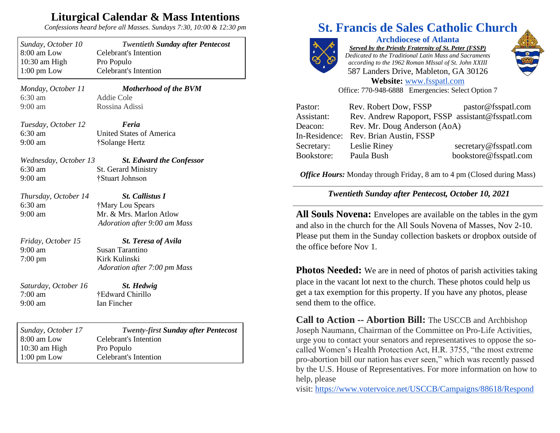## **Liturgical Calendar & Mass Intentions**

*Confessions heard before all Masses. Sundays 7:30, 10:00 & 12:30 pm*

| Sunday, October 10<br>8:00 am Low      | <b>Twentieth Sunday after Pentecost</b><br><b>Celebrant's Intention</b> |
|----------------------------------------|-------------------------------------------------------------------------|
| 10:30 am High<br>$1:00 \text{ pm}$ Low | Pro Populo<br><b>Celebrant's Intention</b>                              |
| Monday, October 11                     | <b>Motherhood of the BVM</b>                                            |
| 6:30 am<br>$9:00$ am                   | <b>Addie Cole</b><br>Rossina Adissi                                     |
|                                        |                                                                         |
| Tuesday, October 12                    | Feria                                                                   |
| $6:30$ am                              | <b>United States of America</b>                                         |
| $9:00$ am                              | †Solange Hertz                                                          |
| Wednesday, October 13                  | <b>St. Edward the Confessor</b>                                         |
| 6:30 am                                | <b>St. Gerard Ministry</b>                                              |
| $9:00$ am                              | †Stuart Johnson                                                         |
| Thursday, October 14                   | <b>St. Callistus I</b>                                                  |
| 6:30 am                                | †Mary Lou Spears                                                        |
| 9:00 am                                | Mr. & Mrs. Marlon Atlow                                                 |
|                                        | Adoration after 9:00 am Mass                                            |
| Friday, October 15                     | <b>St. Teresa of Avila</b>                                              |
| $9:00$ am                              | <b>Susan Tarantino</b>                                                  |
| $7:00 \text{ pm}$                      | Kirk Kulinski                                                           |
|                                        | Adoration after 7:00 pm Mass                                            |
| Saturday, October 16                   | St. Hedwig                                                              |
| $7:00 \text{ am}$                      | †Edward Chirillo                                                        |
| 9:00 am                                | Ian Fincher                                                             |
|                                        |                                                                         |
| Sunday, October 17                     | <b>Twenty-first Sunday after Pentecost</b>                              |
| 8:00 am Low                            | <b>Celebrant's Intention</b>                                            |
| 10:30 am High                          | Pro Populo                                                              |
| $1:00$ pm Low                          | <b>Celebrant's Intention</b>                                            |

## **St. Francis de Sales Catholic Church**



**Archdiocese of Atlanta** *Served by the Priestly Fraternity of St. Peter (FSSP) Dedicated to the Traditional Latin Mass and Sacraments according to the 1962 Roman MIssal of St. John XXIII* 587 Landers Drive, Mableton, GA 30126



**Website:** [www.fsspatl.com](http://www.fsspatl.com/) Office: 770-948-6888 Emergencies: Select Option 7

| Pastor:    | Rev. Robert Dow, FSSP                            | pastor@fsspatl.com    |
|------------|--------------------------------------------------|-----------------------|
| Assistant: | Rev. Andrew Rapoport, FSSP assistant@fsspatl.com |                       |
| Deacon:    | Rev. Mr. Doug Anderson (AoA)                     |                       |
|            | In-Residence: Rev. Brian Austin, FSSP            |                       |
| Secretary: | Leslie Riney                                     | secretary@fsspatl.com |
| Bookstore: | Paula Bush                                       | bookstore@fsspatl.com |

*Office Hours:* Monday through Friday, 8 am to 4 pm (Closed during Mass)

*Twentieth Sunday after Pentecost, October 10, 2021*

**All Souls Novena:** Envelopes are available on the tables in the gym and also in the church for the All Souls Novena of Masses, Nov 2-10. Please put them in the Sunday collection baskets or dropbox outside of the office before Nov 1.

**Photos Needed:** We are in need of photos of parish activities taking place in the vacant lot next to the church. These photos could help us get a tax exemption for this property. If you have any photos, please send them to the office.

**Call to Action -- Abortion Bill:** The USCCB and Archbishop Joseph Naumann, Chairman of the Committee on Pro-Life Activities, urge you to contact your senators and representatives to oppose the socalled Women's Health Protection Act, H.R. 3755, "the most extreme pro-abortion bill our nation has ever seen," which was recently passed by the U.S. House of Representatives. For more information on how to help, please

visit: <https://www.votervoice.net/USCCB/Campaigns/88618/Respond>